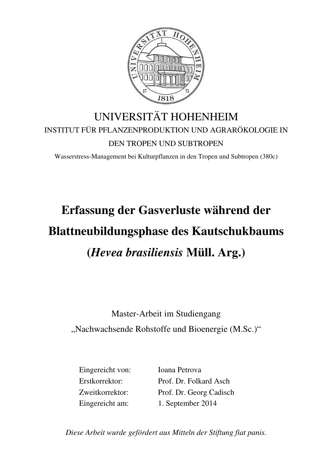

## UNIVERSITÄT HOHENHEIM INSTITUT FÜR PFLANZENPRODUKTION UND AGRARÖKOLOGIE IN DEN TROPEN UND SUBTROPEN

Wasserstress-Management bei Kulturpflanzen in den Tropen und Subtropen (380c)

## **Erfassung der Gasverluste während der Blattneubildungsphase des Kautschukbaums (***Hevea brasiliensis* **Müll. Arg.)**

Master-Arbeit im Studiengang

"Nachwachsende Rohstoffe und Bioenergie (M.Sc.)"

Eingereicht von: Ioana Petrova Erstkorrektor: Prof. Dr. Folkard Asch Zweitkorrektor: Prof. Dr. Georg Cadisch Eingereicht am: 1. September 2014

*Diese Arbeit wurde gefördert aus Mitteln der Stiftung fiat panis.*